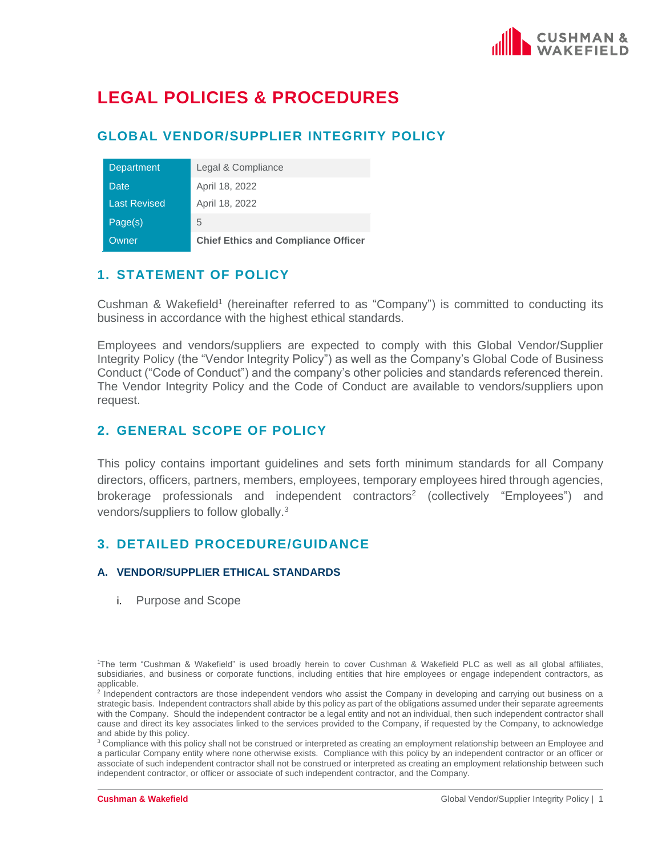

# **LEGAL POLICIES & PROCEDURES**

# **GLOBAL VENDOR/SUPPLIER INTEGRITY POLICY**

| Department          | Legal & Compliance                         |
|---------------------|--------------------------------------------|
| Date                | April 18, 2022                             |
| <b>Last Revised</b> | April 18, 2022                             |
| Page(s)             | 5                                          |
| Owner               | <b>Chief Ethics and Compliance Officer</b> |

# **1. STATEMENT OF POLICY**

Cushman & Wakefield<sup>1</sup> (hereinafter referred to as "Company") is committed to conducting its business in accordance with the highest ethical standards.

Employees and vendors/suppliers are expected to comply with this Global Vendor/Supplier Integrity Policy (the "Vendor Integrity Policy") as well as the Company's Global Code of Business Conduct ("Code of Conduct") and the company's other policies and standards referenced therein. The Vendor Integrity Policy and the Code of Conduct are available to vendors/suppliers upon request.

# **2. GENERAL SCOPE OF POLICY**

This policy contains important guidelines and sets forth minimum standards for all Company directors, officers, partners, members, employees, temporary employees hired through agencies, brokerage professionals and independent contractors<sup>2</sup> (collectively "Employees") and vendors/suppliers to follow globally.<sup>3</sup>

## **3. DETAILED PROCEDURE/GUIDANCE**

#### **A. VENDOR/SUPPLIER ETHICAL STANDARDS**

i. Purpose and Scope

<sup>3</sup> Compliance with this policy shall not be construed or interpreted as creating an employment relationship between an Employee and a particular Company entity where none otherwise exists. Compliance with this policy by an independent contractor or an officer or associate of such independent contractor shall not be construed or interpreted as creating an employment relationship between such independent contractor, or officer or associate of such independent contractor, and the Company.

<sup>1</sup>The term "Cushman & Wakefield" is used broadly herein to cover Cushman & Wakefield PLC as well as all global affiliates, subsidiaries, and business or corporate functions, including entities that hire employees or engage independent contractors, as applicable.

<sup>&</sup>lt;sup>2</sup> Independent contractors are those independent vendors who assist the Company in developing and carrying out business on a strategic basis. Independent contractors shall abide by this policy as part of the obligations assumed under their separate agreements with the Company. Should the independent contractor be a legal entity and not an individual, then such independent contractor shall cause and direct its key associates linked to the services provided to the Company, if requested by the Company, to acknowledge and abide by this policy.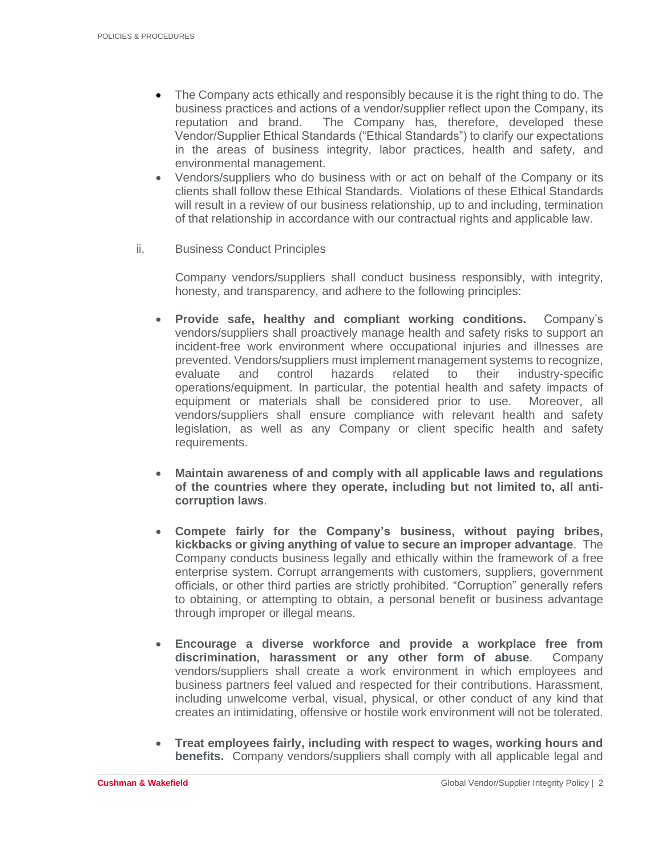- The Company acts ethically and responsibly because it is the right thing to do. The business practices and actions of a vendor/supplier reflect upon the Company, its reputation and brand. The Company has, therefore, developed these Vendor/Supplier Ethical Standards ("Ethical Standards") to clarify our expectations in the areas of business integrity, labor practices, health and safety, and environmental management.
- Vendors/suppliers who do business with or act on behalf of the Company or its clients shall follow these Ethical Standards. Violations of these Ethical Standards will result in a review of our business relationship, up to and including, termination of that relationship in accordance with our contractual rights and applicable law.
- ii. Business Conduct Principles

Company vendors/suppliers shall conduct business responsibly, with integrity, honesty, and transparency, and adhere to the following principles:

- **Provide safe, healthy and compliant working conditions.** Company's vendors/suppliers shall proactively manage health and safety risks to support an incident-free work environment where occupational injuries and illnesses are prevented. Vendors/suppliers must implement management systems to recognize, evaluate and control hazards related to their industry-specific operations/equipment. In particular, the potential health and safety impacts of equipment or materials shall be considered prior to use. Moreover, all vendors/suppliers shall ensure compliance with relevant health and safety legislation, as well as any Company or client specific health and safety requirements.
- **Maintain awareness of and comply with all applicable laws and regulations of the countries where they operate, including but not limited to, all anticorruption laws**.
- **Compete fairly for the Company's business, without paying bribes, kickbacks or giving anything of value to secure an improper advantage**. The Company conducts business legally and ethically within the framework of a free enterprise system. Corrupt arrangements with customers, suppliers, government officials, or other third parties are strictly prohibited. "Corruption" generally refers to obtaining, or attempting to obtain, a personal benefit or business advantage through improper or illegal means.
- **Encourage a diverse workforce and provide a workplace free from discrimination, harassment or any other form of abuse**. Company vendors/suppliers shall create a work environment in which employees and business partners feel valued and respected for their contributions. Harassment, including unwelcome verbal, visual, physical, or other conduct of any kind that creates an intimidating, offensive or hostile work environment will not be tolerated.
- **Treat employees fairly, including with respect to wages, working hours and benefits.** Company vendors/suppliers shall comply with all applicable legal and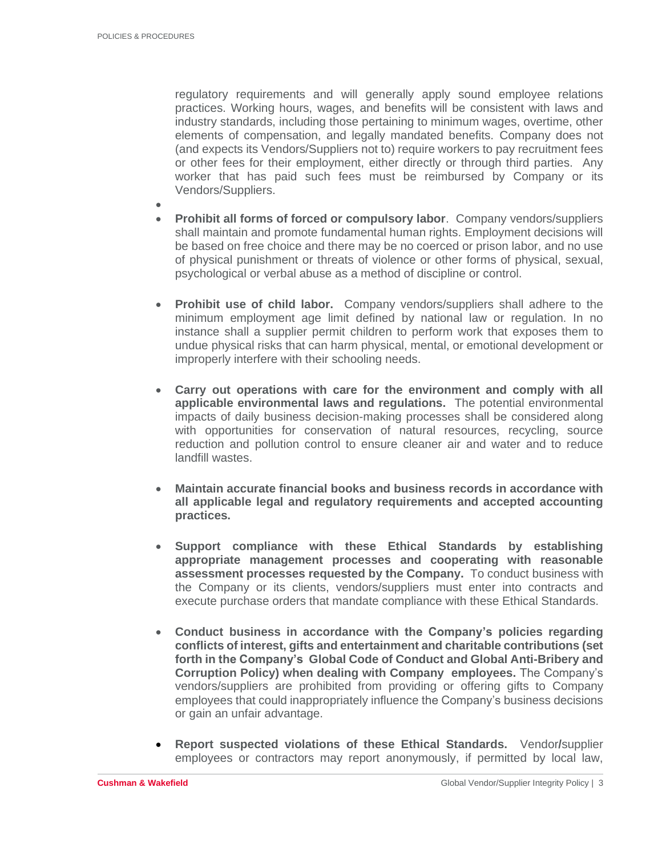regulatory requirements and will generally apply sound employee relations practices. Working hours, wages, and benefits will be consistent with laws and industry standards, including those pertaining to minimum wages, overtime, other elements of compensation, and legally mandated benefits. Company does not (and expects its Vendors/Suppliers not to) require workers to pay recruitment fees or other fees for their employment, either directly or through third parties. Any worker that has paid such fees must be reimbursed by Company or its Vendors/Suppliers.

- • **Prohibit all forms of forced or compulsory labor**. Company vendors/suppliers shall maintain and promote fundamental human rights. Employment decisions will be based on free choice and there may be no coerced or prison labor, and no use of physical punishment or threats of violence or other forms of physical, sexual, psychological or verbal abuse as a method of discipline or control.
- **Prohibit use of child labor.** Company vendors/suppliers shall adhere to the minimum employment age limit defined by national law or regulation. In no instance shall a supplier permit children to perform work that exposes them to undue physical risks that can harm physical, mental, or emotional development or improperly interfere with their schooling needs.
- **Carry out operations with care for the environment and comply with all applicable environmental laws and regulations.** The potential environmental impacts of daily business decision-making processes shall be considered along with opportunities for conservation of natural resources, recycling, source reduction and pollution control to ensure cleaner air and water and to reduce landfill wastes.
- **Maintain accurate financial books and business records in accordance with all applicable legal and regulatory requirements and accepted accounting practices.**
- **Support compliance with these Ethical Standards by establishing appropriate management processes and cooperating with reasonable assessment processes requested by the Company.** To conduct business with the Company or its clients, vendors/suppliers must enter into contracts and execute purchase orders that mandate compliance with these Ethical Standards.
- **Conduct business in accordance with the Company's policies regarding conflicts of interest, gifts and entertainment and charitable contributions (set forth in the Company's Global Code of Conduct and Global Anti-Bribery and Corruption Policy) when dealing with Company employees.** The Company's vendors/suppliers are prohibited from providing or offering gifts to Company employees that could inappropriately influence the Company's business decisions or gain an unfair advantage.
- **Report suspected violations of these Ethical Standards.** Vendor**/**supplier employees or contractors may report anonymously, if permitted by local law,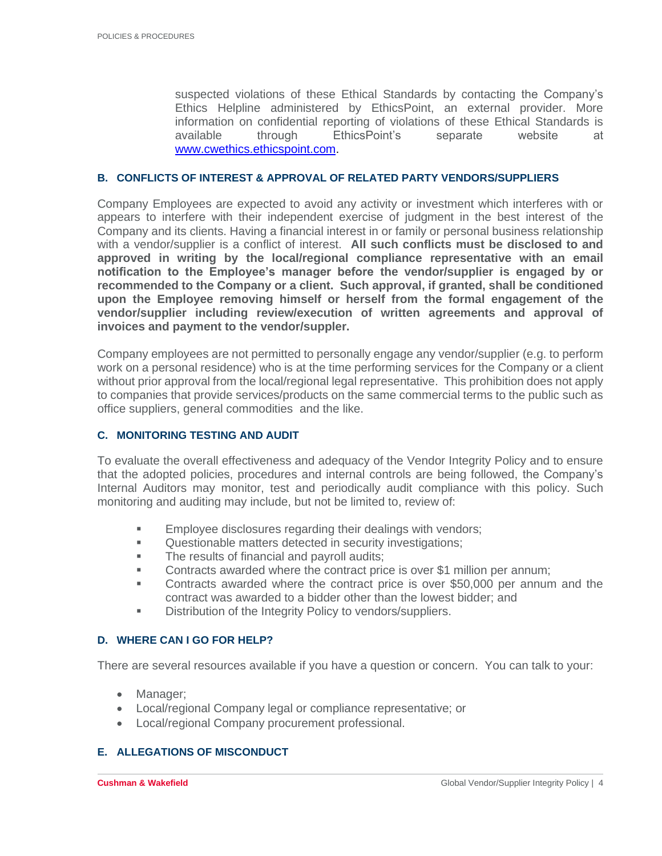suspected violations of these Ethical Standards by contacting the Company's Ethics Helpline administered by EthicsPoint, an external provider. More information on confidential reporting of violations of these Ethical Standards is available through EthicsPoint's separate website at [www.cwethics.ethicspoint.com.](http://www.cwethics.ethicspoint.com/)

#### **B. CONFLICTS OF INTEREST & APPROVAL OF RELATED PARTY VENDORS/SUPPLIERS**

Company Employees are expected to avoid any activity or investment which interferes with or appears to interfere with their independent exercise of judgment in the best interest of the Company and its clients. Having a financial interest in or family or personal business relationship with a vendor/supplier is a conflict of interest. **All such conflicts must be disclosed to and approved in writing by the local/regional compliance representative with an email notification to the Employee's manager before the vendor/supplier is engaged by or recommended to the Company or a client. Such approval, if granted, shall be conditioned upon the Employee removing himself or herself from the formal engagement of the vendor/supplier including review/execution of written agreements and approval of invoices and payment to the vendor/suppler.** 

Company employees are not permitted to personally engage any vendor/supplier (e.g. to perform work on a personal residence) who is at the time performing services for the Company or a client without prior approval from the local/regional legal representative. This prohibition does not apply to companies that provide services/products on the same commercial terms to the public such as office suppliers, general commodities and the like.

#### **C. MONITORING TESTING AND AUDIT**

To evaluate the overall effectiveness and adequacy of the Vendor Integrity Policy and to ensure that the adopted policies, procedures and internal controls are being followed, the Company's Internal Auditors may monitor, test and periodically audit compliance with this policy. Such monitoring and auditing may include, but not be limited to, review of:

- **Employee disclosures regarding their dealings with vendors;**
- Questionable matters detected in security investigations;
- **The results of financial and payroll audits;**
- **•** Contracts awarded where the contract price is over \$1 million per annum;
- Contracts awarded where the contract price is over \$50,000 per annum and the contract was awarded to a bidder other than the lowest bidder; and
- Distribution of the Integrity Policy to vendors/suppliers.

#### **D. WHERE CAN I GO FOR HELP?**

There are several resources available if you have a question or concern. You can talk to your:

- Manager;
- Local/regional Company legal or compliance representative; or
- Local/regional Company procurement professional.

#### **E. ALLEGATIONS OF MISCONDUCT**